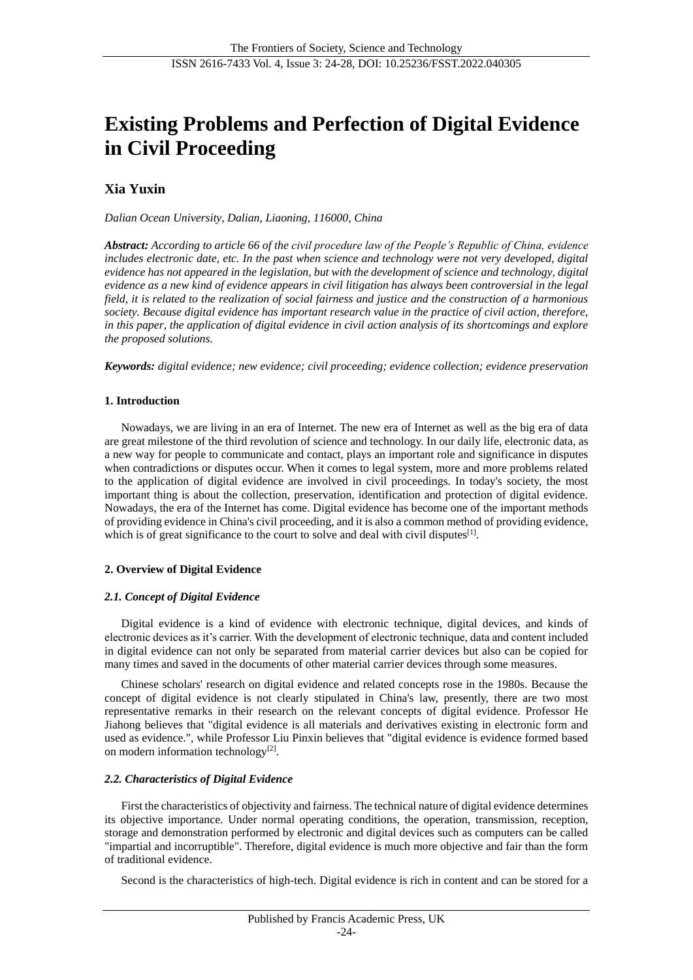# **Existing Problems and Perfection of Digital Evidence in Civil Proceeding**

# **Xia Yuxin**

*Dalian Ocean University, Dalian, Liaoning, 116000, China*

*Abstract: According to article 66 of the civil procedure law of the People's Republic of China, evidence includes electronic date, etc. In the past when science and technology were not very developed, digital evidence has not appeared in the legislation, but with the development of science and technology, digital evidence as a new kind of evidence appears in civil litigation has always been controversial in the legal field, it is related to the realization of social fairness and justice and the construction of a harmonious society. Because digital evidence has important research value in the practice of civil action, therefore, in this paper, the application of digital evidence in civil action analysis of its shortcomings and explore the proposed solutions.*

*Keywords: digital evidence; new evidence; civil proceeding; evidence collection; evidence preservation*

#### **1. Introduction**

Nowadays, we are living in an era of Internet. The new era of Internet as well as the big era of data are great milestone of the third revolution of science and technology. In our daily life, electronic data, as a new way for people to communicate and contact, plays an important role and significance in disputes when contradictions or disputes occur. When it comes to legal system, more and more problems related to the application of digital evidence are involved in civil proceedings. In today's society, the most important thing is about the collection, preservation, identification and protection of digital evidence. Nowadays, the era of the Internet has come. Digital evidence has become one of the important methods of providing evidence in China's civil proceeding, and it is also a common method of providing evidence, which is of great significance to the court to solve and deal with civil disputes $[1]$ .

#### **2. Overview of Digital Evidence**

#### *2.1. Concept of Digital Evidence*

Digital evidence is a kind of evidence with electronic technique, digital devices, and kinds of electronic devices as it's carrier. With the development of electronic technique, data and content included in digital evidence can not only be separated from material carrier devices but also can be copied for many times and saved in the documents of other material carrier devices through some measures.

Chinese scholars' research on digital evidence and related concepts rose in the 1980s. Because the concept of digital evidence is not clearly stipulated in China's law, presently, there are two most representative remarks in their research on the relevant concepts of digital evidence. Professor He Jiahong believes that "digital evidence is all materials and derivatives existing in electronic form and used as evidence.", while Professor Liu Pinxin believes that "digital evidence is evidence formed based on modern information technology<sup>[2]</sup>.

#### *2.2. Characteristics of Digital Evidence*

First the characteristics of objectivity and fairness. The technical nature of digital evidence determines its objective importance. Under normal operating conditions, the operation, transmission, reception, storage and demonstration performed by electronic and digital devices such as computers can be called "impartial and incorruptible". Therefore, digital evidence is much more objective and fair than the form of traditional evidence.

Second is the characteristics of high-tech. Digital evidence is rich in content and can be stored for a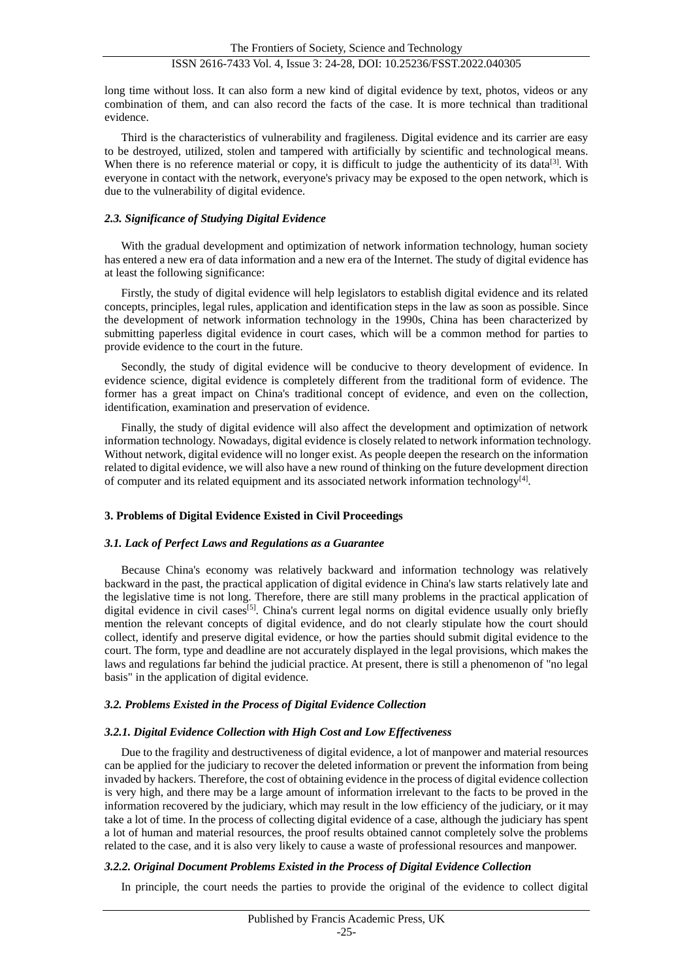long time without loss. It can also form a new kind of digital evidence by text, photos, videos or any combination of them, and can also record the facts of the case. It is more technical than traditional evidence.

Third is the characteristics of vulnerability and fragileness. Digital evidence and its carrier are easy to be destroyed, utilized, stolen and tampered with artificially by scientific and technological means. When there is no reference material or copy, it is difficult to judge the authenticity of its data<sup>[3]</sup>. With everyone in contact with the network, everyone's privacy may be exposed to the open network, which is due to the vulnerability of digital evidence.

#### *2.3. Significance of Studying Digital Evidence*

With the gradual development and optimization of network information technology, human society has entered a new era of data information and a new era of the Internet. The study of digital evidence has at least the following significance:

Firstly, the study of digital evidence will help legislators to establish digital evidence and its related concepts, principles, legal rules, application and identification steps in the law as soon as possible. Since the development of network information technology in the 1990s, China has been characterized by submitting paperless digital evidence in court cases, which will be a common method for parties to provide evidence to the court in the future.

Secondly, the study of digital evidence will be conducive to theory development of evidence. In evidence science, digital evidence is completely different from the traditional form of evidence. The former has a great impact on China's traditional concept of evidence, and even on the collection, identification, examination and preservation of evidence.

Finally, the study of digital evidence will also affect the development and optimization of network information technology. Nowadays, digital evidence is closely related to network information technology. Without network, digital evidence will no longer exist. As people deepen the research on the information related to digital evidence, we will also have a new round of thinking on the future development direction of computer and its related equipment and its associated network information technology<sup>[4]</sup>.

# **3. Problems of Digital Evidence Existed in Civil Proceedings**

### *3.1. Lack of Perfect Laws and Regulations as a Guarantee*

Because China's economy was relatively backward and information technology was relatively backward in the past, the practical application of digital evidence in China's law starts relatively late and the legislative time is not long. Therefore, there are still many problems in the practical application of digital evidence in civil cases<sup>[5]</sup>. China's current legal norms on digital evidence usually only briefly mention the relevant concepts of digital evidence, and do not clearly stipulate how the court should collect, identify and preserve digital evidence, or how the parties should submit digital evidence to the court. The form, type and deadline are not accurately displayed in the legal provisions, which makes the laws and regulations far behind the judicial practice. At present, there is still a phenomenon of "no legal basis" in the application of digital evidence.

# *3.2. Problems Existed in the Process of Digital Evidence Collection*

# *3.2.1. Digital Evidence Collection with High Cost and Low Effectiveness*

Due to the fragility and destructiveness of digital evidence, a lot of manpower and material resources can be applied for the judiciary to recover the deleted information or prevent the information from being invaded by hackers. Therefore, the cost of obtaining evidence in the process of digital evidence collection is very high, and there may be a large amount of information irrelevant to the facts to be proved in the information recovered by the judiciary, which may result in the low efficiency of the judiciary, or it may take a lot of time. In the process of collecting digital evidence of a case, although the judiciary has spent a lot of human and material resources, the proof results obtained cannot completely solve the problems related to the case, and it is also very likely to cause a waste of professional resources and manpower.

# *3.2.2. Original Document Problems Existed in the Process of Digital Evidence Collection*

In principle, the court needs the parties to provide the original of the evidence to collect digital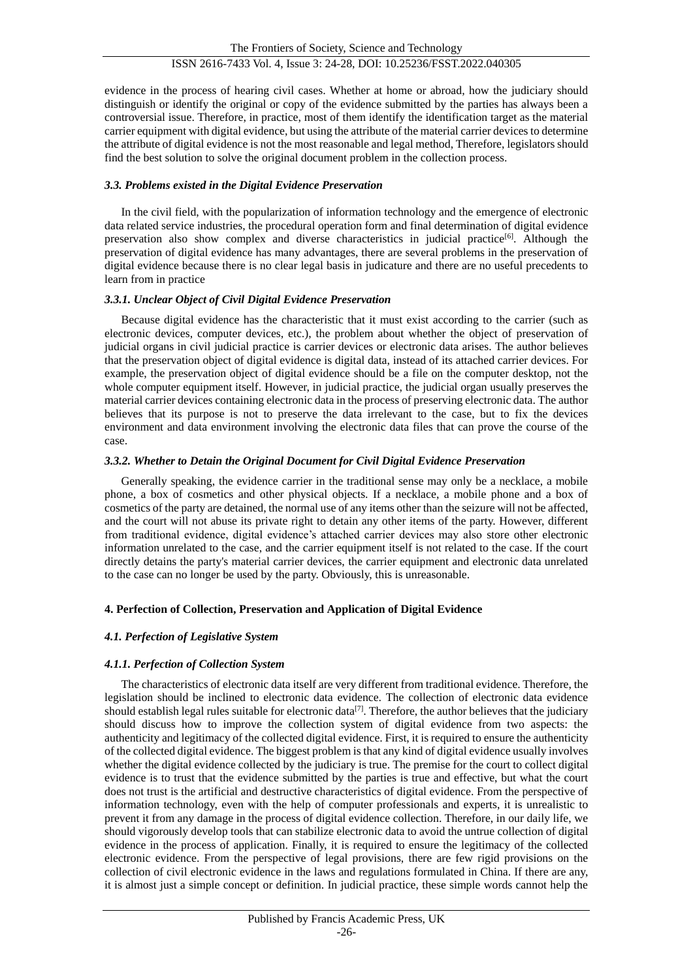evidence in the process of hearing civil cases. Whether at home or abroad, how the judiciary should distinguish or identify the original or copy of the evidence submitted by the parties has always been a controversial issue. Therefore, in practice, most of them identify the identification target as the material carrier equipment with digital evidence, but using the attribute of the material carrier devices to determine the attribute of digital evidence is not the most reasonable and legal method, Therefore, legislators should find the best solution to solve the original document problem in the collection process.

### *3.3. Problems existed in the Digital Evidence Preservation*

In the civil field, with the popularization of information technology and the emergence of electronic data related service industries, the procedural operation form and final determination of digital evidence preservation also show complex and diverse characteristics in judicial practice<sup>[6]</sup>. Although the preservation of digital evidence has many advantages, there are several problems in the preservation of digital evidence because there is no clear legal basis in judicature and there are no useful precedents to learn from in practice

#### *3.3.1. Unclear Object of Civil Digital Evidence Preservation*

Because digital evidence has the characteristic that it must exist according to the carrier (such as electronic devices, computer devices, etc.), the problem about whether the object of preservation of judicial organs in civil judicial practice is carrier devices or electronic data arises. The author believes that the preservation object of digital evidence is digital data, instead of its attached carrier devices. For example, the preservation object of digital evidence should be a file on the computer desktop, not the whole computer equipment itself. However, in judicial practice, the judicial organ usually preserves the material carrier devices containing electronic data in the process of preserving electronic data. The author believes that its purpose is not to preserve the data irrelevant to the case, but to fix the devices environment and data environment involving the electronic data files that can prove the course of the case.

#### *3.3.2. Whether to Detain the Original Document for Civil Digital Evidence Preservation*

Generally speaking, the evidence carrier in the traditional sense may only be a necklace, a mobile phone, a box of cosmetics and other physical objects. If a necklace, a mobile phone and a box of cosmetics of the party are detained, the normal use of any items other than the seizure will not be affected, and the court will not abuse its private right to detain any other items of the party. However, different from traditional evidence, digital evidence's attached carrier devices may also store other electronic information unrelated to the case, and the carrier equipment itself is not related to the case. If the court directly detains the party's material carrier devices, the carrier equipment and electronic data unrelated to the case can no longer be used by the party. Obviously, this is unreasonable.

# **4. Perfection of Collection, Preservation and Application of Digital Evidence**

# *4.1. Perfection of Legislative System*

# *4.1.1. Perfection of Collection System*

The characteristics of electronic data itself are very different from traditional evidence. Therefore, the legislation should be inclined to electronic data evidence. The collection of electronic data evidence should establish legal rules suitable for electronic data<sup>[7]</sup>. Therefore, the author believes that the judiciary should discuss how to improve the collection system of digital evidence from two aspects: the authenticity and legitimacy of the collected digital evidence. First, it is required to ensure the authenticity of the collected digital evidence. The biggest problem is that any kind of digital evidence usually involves whether the digital evidence collected by the judiciary is true. The premise for the court to collect digital evidence is to trust that the evidence submitted by the parties is true and effective, but what the court does not trust is the artificial and destructive characteristics of digital evidence. From the perspective of information technology, even with the help of computer professionals and experts, it is unrealistic to prevent it from any damage in the process of digital evidence collection. Therefore, in our daily life, we should vigorously develop tools that can stabilize electronic data to avoid the untrue collection of digital evidence in the process of application. Finally, it is required to ensure the legitimacy of the collected electronic evidence. From the perspective of legal provisions, there are few rigid provisions on the collection of civil electronic evidence in the laws and regulations formulated in China. If there are any, it is almost just a simple concept or definition. In judicial practice, these simple words cannot help the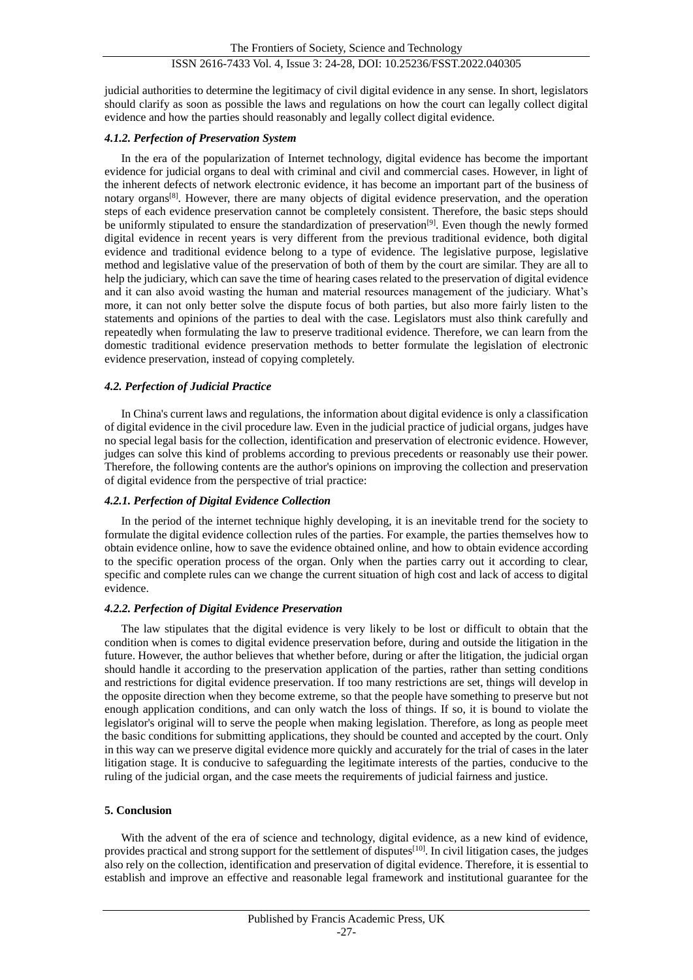judicial authorities to determine the legitimacy of civil digital evidence in any sense. In short, legislators should clarify as soon as possible the laws and regulations on how the court can legally collect digital evidence and how the parties should reasonably and legally collect digital evidence.

#### *4.1.2. Perfection of Preservation System*

In the era of the popularization of Internet technology, digital evidence has become the important evidence for judicial organs to deal with criminal and civil and commercial cases. However, in light of the inherent defects of network electronic evidence, it has become an important part of the business of notary organs[8]. However, there are many objects of digital evidence preservation, and the operation steps of each evidence preservation cannot be completely consistent. Therefore, the basic steps should be uniformly stipulated to ensure the standardization of preservation<sup>[9]</sup>. Even though the newly formed digital evidence in recent years is very different from the previous traditional evidence, both digital evidence and traditional evidence belong to a type of evidence. The legislative purpose, legislative method and legislative value of the preservation of both of them by the court are similar. They are all to help the judiciary, which can save the time of hearing cases related to the preservation of digital evidence and it can also avoid wasting the human and material resources management of the judiciary. What's more, it can not only better solve the dispute focus of both parties, but also more fairly listen to the statements and opinions of the parties to deal with the case. Legislators must also think carefully and repeatedly when formulating the law to preserve traditional evidence. Therefore, we can learn from the domestic traditional evidence preservation methods to better formulate the legislation of electronic evidence preservation, instead of copying completely.

#### *4.2. Perfection of Judicial Practice*

In China's current laws and regulations, the information about digital evidence is only a classification of digital evidence in the civil procedure law. Even in the judicial practice of judicial organs, judges have no special legal basis for the collection, identification and preservation of electronic evidence. However, judges can solve this kind of problems according to previous precedents or reasonably use their power. Therefore, the following contents are the author's opinions on improving the collection and preservation of digital evidence from the perspective of trial practice:

# *4.2.1. Perfection of Digital Evidence Collection*

In the period of the internet technique highly developing, it is an inevitable trend for the society to formulate the digital evidence collection rules of the parties. For example, the parties themselves how to obtain evidence online, how to save the evidence obtained online, and how to obtain evidence according to the specific operation process of the organ. Only when the parties carry out it according to clear, specific and complete rules can we change the current situation of high cost and lack of access to digital evidence.

#### *4.2.2. Perfection of Digital Evidence Preservation*

The law stipulates that the digital evidence is very likely to be lost or difficult to obtain that the condition when is comes to digital evidence preservation before, during and outside the litigation in the future. However, the author believes that whether before, during or after the litigation, the judicial organ should handle it according to the preservation application of the parties, rather than setting conditions and restrictions for digital evidence preservation. If too many restrictions are set, things will develop in the opposite direction when they become extreme, so that the people have something to preserve but not enough application conditions, and can only watch the loss of things. If so, it is bound to violate the legislator's original will to serve the people when making legislation. Therefore, as long as people meet the basic conditions for submitting applications, they should be counted and accepted by the court. Only in this way can we preserve digital evidence more quickly and accurately for the trial of cases in the later litigation stage. It is conducive to safeguarding the legitimate interests of the parties, conducive to the ruling of the judicial organ, and the case meets the requirements of judicial fairness and justice.

#### **5. Conclusion**

With the advent of the era of science and technology, digital evidence, as a new kind of evidence, provides practical and strong support for the settlement of disputes<sup>[10]</sup>. In civil litigation cases, the judges also rely on the collection, identification and preservation of digital evidence. Therefore, it is essential to establish and improve an effective and reasonable legal framework and institutional guarantee for the